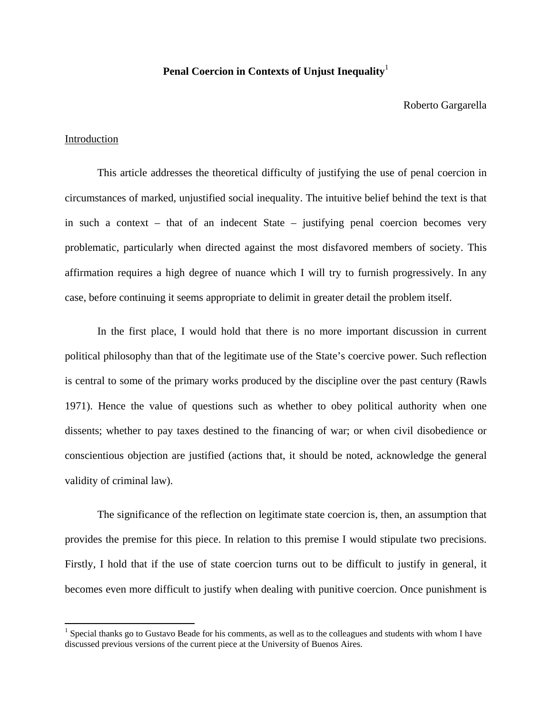# **Penal Coercion in Contexts of Unjust Inequality**<sup>1</sup>

#### Roberto Gargarella

## Introduction

 This article addresses the theoretical difficulty of justifying the use of penal coercion in circumstances of marked, unjustified social inequality. The intuitive belief behind the text is that in such a context – that of an indecent State – justifying penal coercion becomes very problematic, particularly when directed against the most disfavored members of society. This affirmation requires a high degree of nuance which I will try to furnish progressively. In any case, before continuing it seems appropriate to delimit in greater detail the problem itself.

 In the first place, I would hold that there is no more important discussion in current political philosophy than that of the legitimate use of the State's coercive power. Such reflection is central to some of the primary works produced by the discipline over the past century (Rawls 1971). Hence the value of questions such as whether to obey political authority when one dissents; whether to pay taxes destined to the financing of war; or when civil disobedience or conscientious objection are justified (actions that, it should be noted, acknowledge the general validity of criminal law).

 The significance of the reflection on legitimate state coercion is, then, an assumption that provides the premise for this piece. In relation to this premise I would stipulate two precisions. Firstly, I hold that if the use of state coercion turns out to be difficult to justify in general, it becomes even more difficult to justify when dealing with punitive coercion. Once punishment is

 $<sup>1</sup>$  Special thanks go to Gustavo Beade for his comments, as well as to the colleagues and students with whom I have</sup> discussed previous versions of the current piece at the University of Buenos Aires.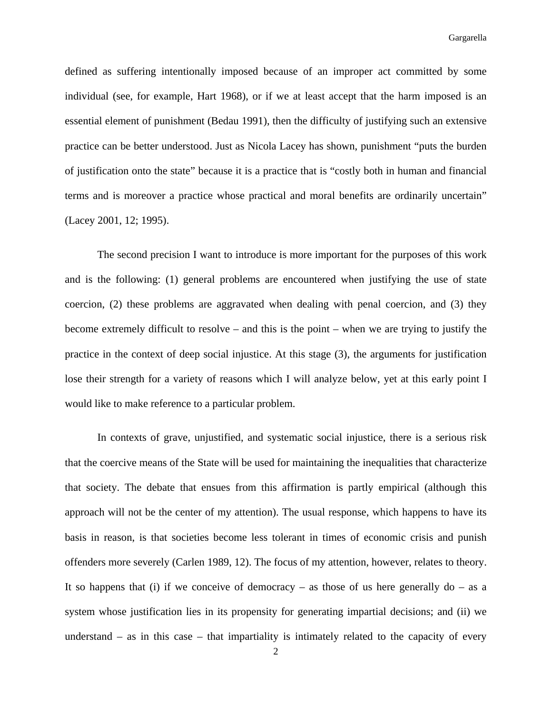defined as suffering intentionally imposed because of an improper act committed by some individual (see, for example, Hart 1968), or if we at least accept that the harm imposed is an essential element of punishment (Bedau 1991), then the difficulty of justifying such an extensive practice can be better understood. Just as Nicola Lacey has shown, punishment "puts the burden of justification onto the state" because it is a practice that is "costly both in human and financial terms and is moreover a practice whose practical and moral benefits are ordinarily uncertain" (Lacey 2001, 12; 1995).

 The second precision I want to introduce is more important for the purposes of this work and is the following: (1) general problems are encountered when justifying the use of state coercion, (2) these problems are aggravated when dealing with penal coercion, and (3) they become extremely difficult to resolve – and this is the point – when we are trying to justify the practice in the context of deep social injustice. At this stage (3), the arguments for justification lose their strength for a variety of reasons which I will analyze below, yet at this early point I would like to make reference to a particular problem.

 In contexts of grave, unjustified, and systematic social injustice, there is a serious risk that the coercive means of the State will be used for maintaining the inequalities that characterize that society. The debate that ensues from this affirmation is partly empirical (although this approach will not be the center of my attention). The usual response, which happens to have its basis in reason, is that societies become less tolerant in times of economic crisis and punish offenders more severely (Carlen 1989, 12). The focus of my attention, however, relates to theory. It so happens that (i) if we conceive of democracy – as those of us here generally  $d\sigma$  – as a system whose justification lies in its propensity for generating impartial decisions; and (ii) we understand  $-$  as in this case  $-$  that impartiality is intimately related to the capacity of every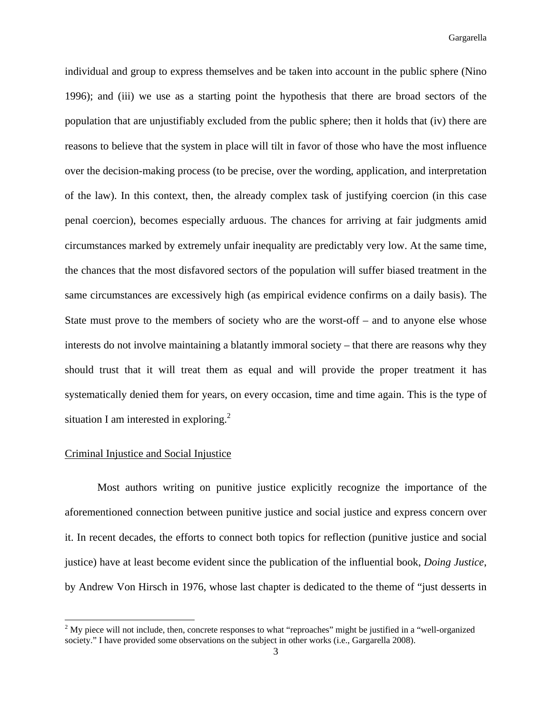individual and group to express themselves and be taken into account in the public sphere (Nino 1996); and (iii) we use as a starting point the hypothesis that there are broad sectors of the population that are unjustifiably excluded from the public sphere; then it holds that (iv) there are reasons to believe that the system in place will tilt in favor of those who have the most influence over the decision-making process (to be precise, over the wording, application, and interpretation of the law). In this context, then, the already complex task of justifying coercion (in this case penal coercion), becomes especially arduous. The chances for arriving at fair judgments amid circumstances marked by extremely unfair inequality are predictably very low. At the same time, the chances that the most disfavored sectors of the population will suffer biased treatment in the same circumstances are excessively high (as empirical evidence confirms on a daily basis). The State must prove to the members of society who are the worst-off – and to anyone else whose interests do not involve maintaining a blatantly immoral society – that there are reasons why they should trust that it will treat them as equal and will provide the proper treatment it has systematically denied them for years, on every occasion, time and time again. This is the type of situation I am interested in exploring.<sup>2</sup>

#### Criminal Injustice and Social Injustice

 Most authors writing on punitive justice explicitly recognize the importance of the aforementioned connection between punitive justice and social justice and express concern over it. In recent decades, the efforts to connect both topics for reflection (punitive justice and social justice) have at least become evident since the publication of the influential book, *Doing Justice*, by Andrew Von Hirsch in 1976, whose last chapter is dedicated to the theme of "just desserts in

<sup>&</sup>lt;sup>2</sup> My piece will not include, then, concrete responses to what "reproaches" might be justified in a "well-organized" society." I have provided some observations on the subject in other works (i.e., Gargarella 2008).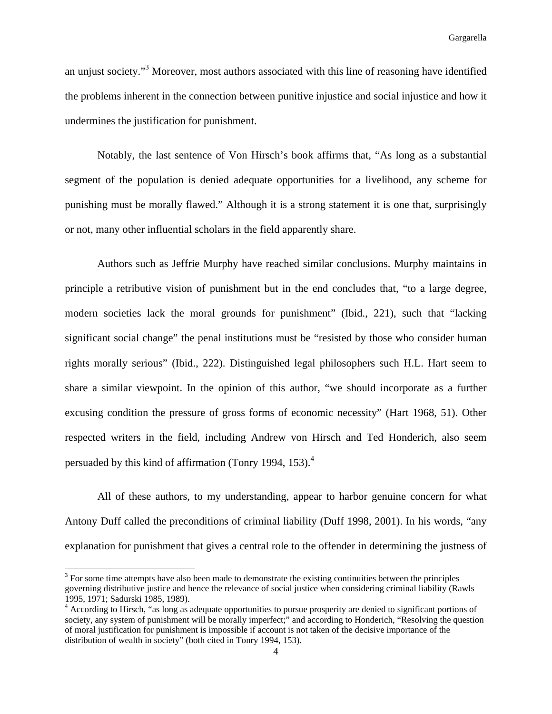an unjust society."<sup>3</sup> Moreover, most authors associated with this line of reasoning have identified the problems inherent in the connection between punitive injustice and social injustice and how it undermines the justification for punishment.

 Notably, the last sentence of Von Hirsch's book affirms that, "As long as a substantial segment of the population is denied adequate opportunities for a livelihood, any scheme for punishing must be morally flawed." Although it is a strong statement it is one that, surprisingly or not, many other influential scholars in the field apparently share.

 Authors such as Jeffrie Murphy have reached similar conclusions. Murphy maintains in principle a retributive vision of punishment but in the end concludes that, "to a large degree, modern societies lack the moral grounds for punishment" (Ibid., 221), such that "lacking significant social change" the penal institutions must be "resisted by those who consider human rights morally serious" (Ibid., 222). Distinguished legal philosophers such H.L. Hart seem to share a similar viewpoint. In the opinion of this author, "we should incorporate as a further excusing condition the pressure of gross forms of economic necessity" (Hart 1968, 51). Other respected writers in the field, including Andrew von Hirsch and Ted Honderich, also seem persuaded by this kind of affirmation (Tonry 1994, 153).<sup>4</sup>

 All of these authors, to my understanding, appear to harbor genuine concern for what Antony Duff called the preconditions of criminal liability (Duff 1998, 2001). In his words, "any explanation for punishment that gives a central role to the offender in determining the justness of

 $3$  For some time attempts have also been made to demonstrate the existing continuities between the principles governing distributive justice and hence the relevance of social justice when considering criminal liability (Rawls 1995, 1971; Sadurski 1985, 1989).

<sup>&</sup>lt;sup>4</sup> According to Hirsch, "as long as adequate opportunities to pursue prosperity are denied to significant portions of society, any system of punishment will be morally imperfect;" and according to Honderich, "Resolving the question of moral justification for punishment is impossible if account is not taken of the decisive importance of the distribution of wealth in society" (both cited in Tonry 1994, 153).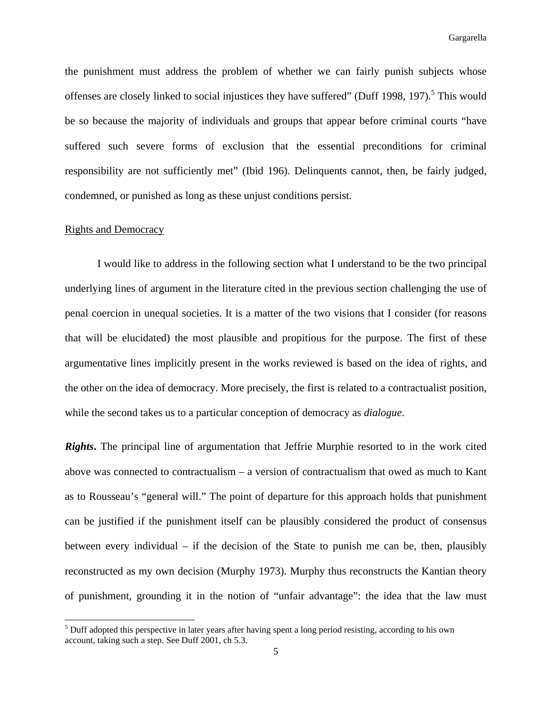the punishment must address the problem of whether we can fairly punish subjects whose offenses are closely linked to social injustices they have suffered" (Duff 1998, 197).<sup>5</sup> This would be so because the majority of individuals and groups that appear before criminal courts "have suffered such severe forms of exclusion that the essential preconditions for criminal responsibility are not sufficiently met" (Ibid 196). Delinquents cannot, then, be fairly judged, condemned, or punished as long as these unjust conditions persist.

#### Rights and Democracy

 I would like to address in the following section what I understand to be the two principal underlying lines of argument in the literature cited in the previous section challenging the use of penal coercion in unequal societies. It is a matter of the two visions that I consider (for reasons that will be elucidated) the most plausible and propitious for the purpose. The first of these argumentative lines implicitly present in the works reviewed is based on the idea of rights, and the other on the idea of democracy. More precisely, the first is related to a contractualist position, while the second takes us to a particular conception of democracy as *dialogue*.

*Rights***.** The principal line of argumentation that Jeffrie Murphie resorted to in the work cited above was connected to contractualism – a version of contractualism that owed as much to Kant as to Rousseau's "general will." The point of departure for this approach holds that punishment can be justified if the punishment itself can be plausibly considered the product of consensus between every individual – if the decision of the State to punish me can be, then, plausibly reconstructed as my own decision (Murphy 1973). Murphy thus reconstructs the Kantian theory of punishment, grounding it in the notion of "unfair advantage": the idea that the law must

<sup>&</sup>lt;sup>5</sup> Duff adopted this perspective in later years after having spent a long period resisting, according to his own account, taking such a step. See Duff 2001, ch 5.3.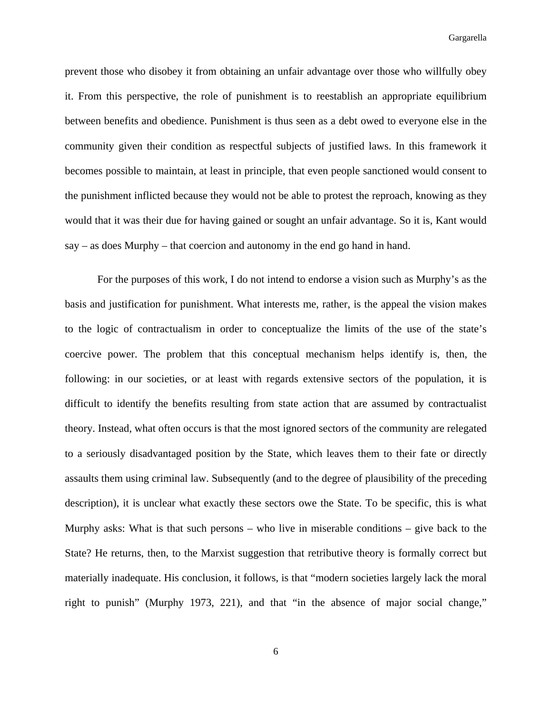prevent those who disobey it from obtaining an unfair advantage over those who willfully obey it. From this perspective, the role of punishment is to reestablish an appropriate equilibrium between benefits and obedience. Punishment is thus seen as a debt owed to everyone else in the community given their condition as respectful subjects of justified laws. In this framework it becomes possible to maintain, at least in principle, that even people sanctioned would consent to the punishment inflicted because they would not be able to protest the reproach, knowing as they would that it was their due for having gained or sought an unfair advantage. So it is, Kant would say – as does Murphy – that coercion and autonomy in the end go hand in hand.

 For the purposes of this work, I do not intend to endorse a vision such as Murphy's as the basis and justification for punishment. What interests me, rather, is the appeal the vision makes to the logic of contractualism in order to conceptualize the limits of the use of the state's coercive power. The problem that this conceptual mechanism helps identify is, then, the following: in our societies, or at least with regards extensive sectors of the population, it is difficult to identify the benefits resulting from state action that are assumed by contractualist theory. Instead, what often occurs is that the most ignored sectors of the community are relegated to a seriously disadvantaged position by the State, which leaves them to their fate or directly assaults them using criminal law. Subsequently (and to the degree of plausibility of the preceding description), it is unclear what exactly these sectors owe the State. To be specific, this is what Murphy asks: What is that such persons – who live in miserable conditions – give back to the State? He returns, then, to the Marxist suggestion that retributive theory is formally correct but materially inadequate. His conclusion, it follows, is that "modern societies largely lack the moral right to punish" (Murphy 1973, 221), and that "in the absence of major social change,"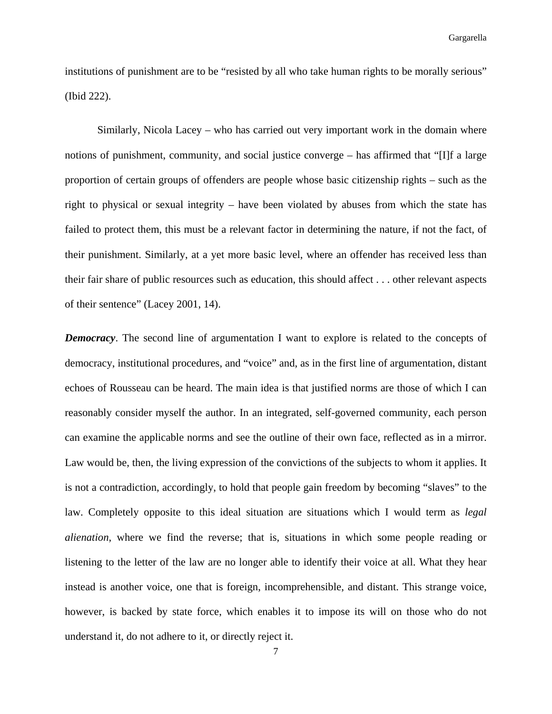institutions of punishment are to be "resisted by all who take human rights to be morally serious" (Ibid 222).

 Similarly, Nicola Lacey – who has carried out very important work in the domain where notions of punishment, community, and social justice converge – has affirmed that "[I]f a large proportion of certain groups of offenders are people whose basic citizenship rights – such as the right to physical or sexual integrity – have been violated by abuses from which the state has failed to protect them, this must be a relevant factor in determining the nature, if not the fact, of their punishment. Similarly, at a yet more basic level, where an offender has received less than their fair share of public resources such as education, this should affect . . . other relevant aspects of their sentence" (Lacey 2001, 14).

*Democracy*. The second line of argumentation I want to explore is related to the concepts of democracy, institutional procedures, and "voice" and, as in the first line of argumentation, distant echoes of Rousseau can be heard. The main idea is that justified norms are those of which I can reasonably consider myself the author. In an integrated, self-governed community, each person can examine the applicable norms and see the outline of their own face, reflected as in a mirror. Law would be, then, the living expression of the convictions of the subjects to whom it applies. It is not a contradiction, accordingly, to hold that people gain freedom by becoming "slaves" to the law. Completely opposite to this ideal situation are situations which I would term as *legal alienation*, where we find the reverse; that is, situations in which some people reading or listening to the letter of the law are no longer able to identify their voice at all. What they hear instead is another voice, one that is foreign, incomprehensible, and distant. This strange voice, however, is backed by state force, which enables it to impose its will on those who do not understand it, do not adhere to it, or directly reject it.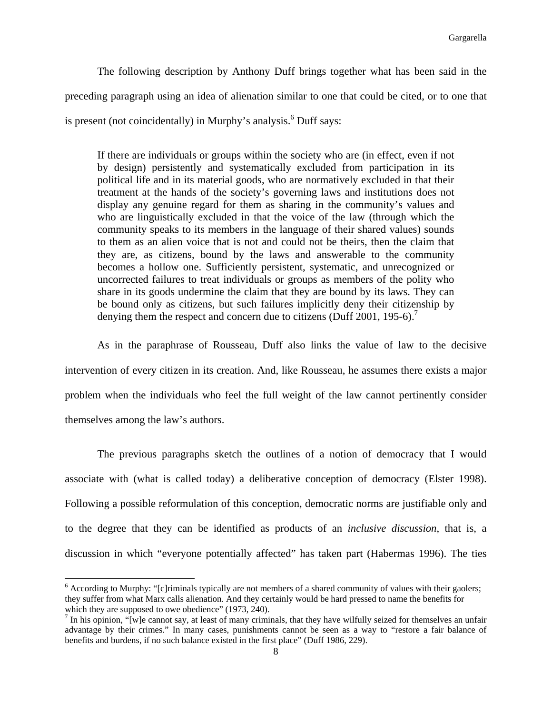The following description by Anthony Duff brings together what has been said in the preceding paragraph using an idea of alienation similar to one that could be cited, or to one that is present (not coincidentally) in Murphy's analysis.<sup>6</sup> Duff says:

If there are individuals or groups within the society who are (in effect, even if not by design) persistently and systematically excluded from participation in its political life and in its material goods, who are normatively excluded in that their treatment at the hands of the society's governing laws and institutions does not display any genuine regard for them as sharing in the community's values and who are linguistically excluded in that the voice of the law (through which the community speaks to its members in the language of their shared values) sounds to them as an alien voice that is not and could not be theirs, then the claim that they are, as citizens, bound by the laws and answerable to the community becomes a hollow one. Sufficiently persistent, systematic, and unrecognized or uncorrected failures to treat individuals or groups as members of the polity who share in its goods undermine the claim that they are bound by its laws. They can be bound only as citizens, but such failures implicitly deny their citizenship by denying them the respect and concern due to citizens (Duff 2001, 195-6).

 As in the paraphrase of Rousseau, Duff also links the value of law to the decisive intervention of every citizen in its creation. And, like Rousseau, he assumes there exists a major problem when the individuals who feel the full weight of the law cannot pertinently consider themselves among the law's authors.

 The previous paragraphs sketch the outlines of a notion of democracy that I would associate with (what is called today) a deliberative conception of democracy (Elster 1998). Following a possible reformulation of this conception, democratic norms are justifiable only and to the degree that they can be identified as products of an *inclusive discussion*, that is, a discussion in which "everyone potentially affected" has taken part (Habermas 1996). The ties

<sup>&</sup>lt;sup>6</sup> According to Murphy: "[c]riminals typically are not members of a shared community of values with their gaolers; they suffer from what Marx calls alienation. And they certainly would be hard pressed to name the benefits for which they are supposed to owe obedience" (1973, 240).

 $<sup>7</sup>$  In his opinion, "[w]e cannot say, at least of many criminals, that they have wilfully seized for themselves an unfair</sup> advantage by their crimes." In many cases, punishments cannot be seen as a way to "restore a fair balance of benefits and burdens, if no such balance existed in the first place" (Duff 1986, 229).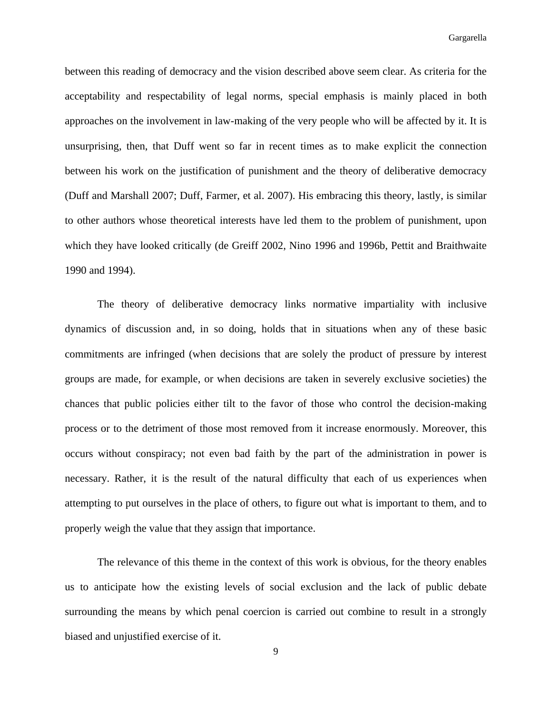between this reading of democracy and the vision described above seem clear. As criteria for the acceptability and respectability of legal norms, special emphasis is mainly placed in both approaches on the involvement in law-making of the very people who will be affected by it. It is unsurprising, then, that Duff went so far in recent times as to make explicit the connection between his work on the justification of punishment and the theory of deliberative democracy (Duff and Marshall 2007; Duff, Farmer, et al. 2007). His embracing this theory, lastly, is similar to other authors whose theoretical interests have led them to the problem of punishment, upon which they have looked critically (de Greiff 2002, Nino 1996 and 1996b, Pettit and Braithwaite 1990 and 1994).

 The theory of deliberative democracy links normative impartiality with inclusive dynamics of discussion and, in so doing, holds that in situations when any of these basic commitments are infringed (when decisions that are solely the product of pressure by interest groups are made, for example, or when decisions are taken in severely exclusive societies) the chances that public policies either tilt to the favor of those who control the decision-making process or to the detriment of those most removed from it increase enormously. Moreover, this occurs without conspiracy; not even bad faith by the part of the administration in power is necessary. Rather, it is the result of the natural difficulty that each of us experiences when attempting to put ourselves in the place of others, to figure out what is important to them, and to properly weigh the value that they assign that importance.

 The relevance of this theme in the context of this work is obvious, for the theory enables us to anticipate how the existing levels of social exclusion and the lack of public debate surrounding the means by which penal coercion is carried out combine to result in a strongly biased and unjustified exercise of it.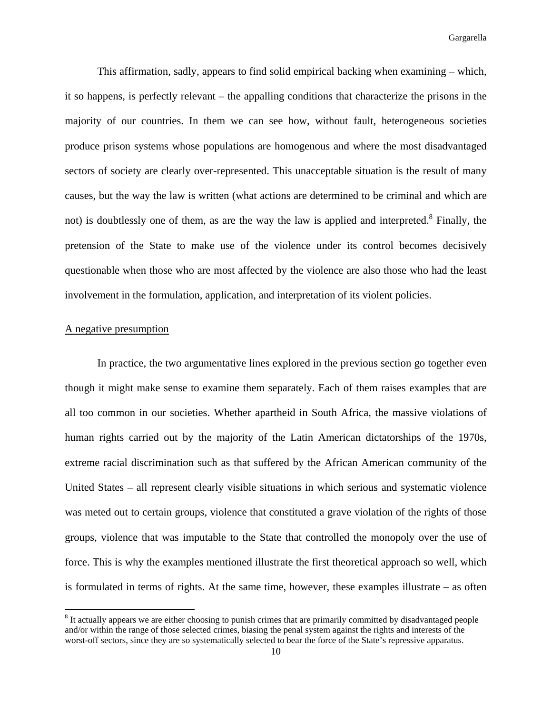This affirmation, sadly, appears to find solid empirical backing when examining – which, it so happens, is perfectly relevant – the appalling conditions that characterize the prisons in the majority of our countries. In them we can see how, without fault, heterogeneous societies produce prison systems whose populations are homogenous and where the most disadvantaged sectors of society are clearly over-represented. This unacceptable situation is the result of many causes, but the way the law is written (what actions are determined to be criminal and which are not) is doubtlessly one of them, as are the way the law is applied and interpreted.<sup>8</sup> Finally, the pretension of the State to make use of the violence under its control becomes decisively questionable when those who are most affected by the violence are also those who had the least involvement in the formulation, application, and interpretation of its violent policies.

#### A negative presumption

 In practice, the two argumentative lines explored in the previous section go together even though it might make sense to examine them separately. Each of them raises examples that are all too common in our societies. Whether apartheid in South Africa, the massive violations of human rights carried out by the majority of the Latin American dictatorships of the 1970s, extreme racial discrimination such as that suffered by the African American community of the United States – all represent clearly visible situations in which serious and systematic violence was meted out to certain groups, violence that constituted a grave violation of the rights of those groups, violence that was imputable to the State that controlled the monopoly over the use of force. This is why the examples mentioned illustrate the first theoretical approach so well, which is formulated in terms of rights. At the same time, however, these examples illustrate – as often

<sup>&</sup>lt;sup>8</sup> It actually appears we are either choosing to punish crimes that are primarily committed by disadvantaged people and/or within the range of those selected crimes, biasing the penal system against the rights and interests of the worst-off sectors, since they are so systematically selected to bear the force of the State's repressive apparatus.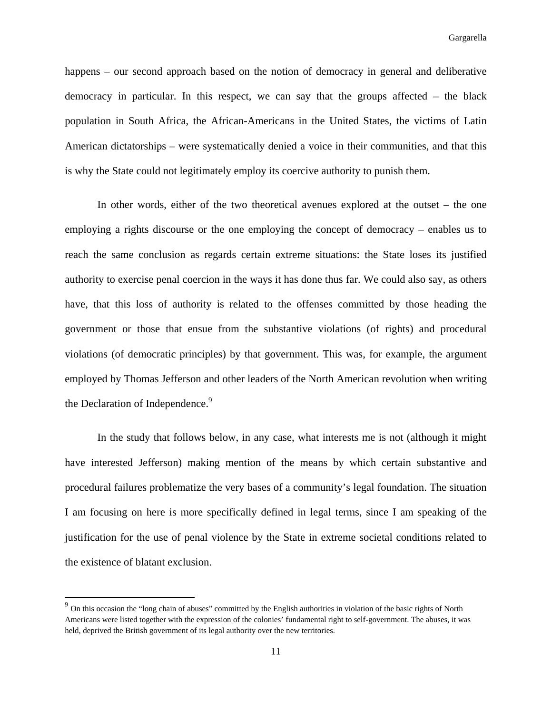happens – our second approach based on the notion of democracy in general and deliberative democracy in particular. In this respect, we can say that the groups affected – the black population in South Africa, the African-Americans in the United States, the victims of Latin American dictatorships – were systematically denied a voice in their communities, and that this is why the State could not legitimately employ its coercive authority to punish them.

 In other words, either of the two theoretical avenues explored at the outset – the one employing a rights discourse or the one employing the concept of democracy – enables us to reach the same conclusion as regards certain extreme situations: the State loses its justified authority to exercise penal coercion in the ways it has done thus far. We could also say, as others have, that this loss of authority is related to the offenses committed by those heading the government or those that ensue from the substantive violations (of rights) and procedural violations (of democratic principles) by that government. This was, for example, the argument employed by Thomas Jefferson and other leaders of the North American revolution when writing the Declaration of Independence.<sup>9</sup>

In the study that follows below, in any case, what interests me is not (although it might have interested Jefferson) making mention of the means by which certain substantive and procedural failures problematize the very bases of a community's legal foundation. The situation I am focusing on here is more specifically defined in legal terms, since I am speaking of the justification for the use of penal violence by the State in extreme societal conditions related to the existence of blatant exclusion.

 $9$  On this occasion the "long chain of abuses" committed by the English authorities in violation of the basic rights of North Americans were listed together with the expression of the colonies' fundamental right to self-government. The abuses, it was held, deprived the British government of its legal authority over the new territories.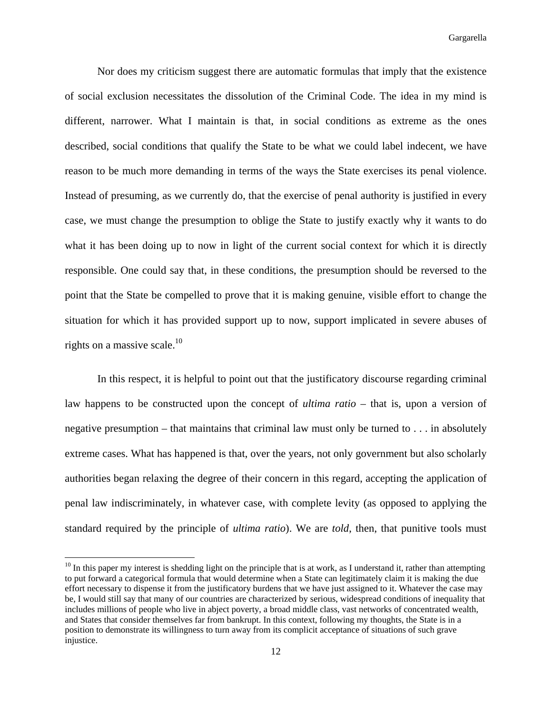Nor does my criticism suggest there are automatic formulas that imply that the existence of social exclusion necessitates the dissolution of the Criminal Code. The idea in my mind is different, narrower. What I maintain is that, in social conditions as extreme as the ones described, social conditions that qualify the State to be what we could label indecent, we have reason to be much more demanding in terms of the ways the State exercises its penal violence. Instead of presuming, as we currently do, that the exercise of penal authority is justified in every case, we must change the presumption to oblige the State to justify exactly why it wants to do what it has been doing up to now in light of the current social context for which it is directly responsible. One could say that, in these conditions, the presumption should be reversed to the point that the State be compelled to prove that it is making genuine, visible effort to change the situation for which it has provided support up to now, support implicated in severe abuses of rights on a massive scale. $10$ 

 In this respect, it is helpful to point out that the justificatory discourse regarding criminal law happens to be constructed upon the concept of *ultima ratio* – that is, upon a version of negative presumption – that maintains that criminal law must only be turned to . . . in absolutely extreme cases. What has happened is that, over the years, not only government but also scholarly authorities began relaxing the degree of their concern in this regard, accepting the application of penal law indiscriminately, in whatever case, with complete levity (as opposed to applying the standard required by the principle of *ultima ratio*). We are *told*, then, that punitive tools must

 $10$  In this paper my interest is shedding light on the principle that is at work, as I understand it, rather than attempting to put forward a categorical formula that would determine when a State can legitimately claim it is making the due effort necessary to dispense it from the justificatory burdens that we have just assigned to it. Whatever the case may be, I would still say that many of our countries are characterized by serious, widespread conditions of inequality that includes millions of people who live in abject poverty, a broad middle class, vast networks of concentrated wealth, and States that consider themselves far from bankrupt. In this context, following my thoughts, the State is in a position to demonstrate its willingness to turn away from its complicit acceptance of situations of such grave injustice.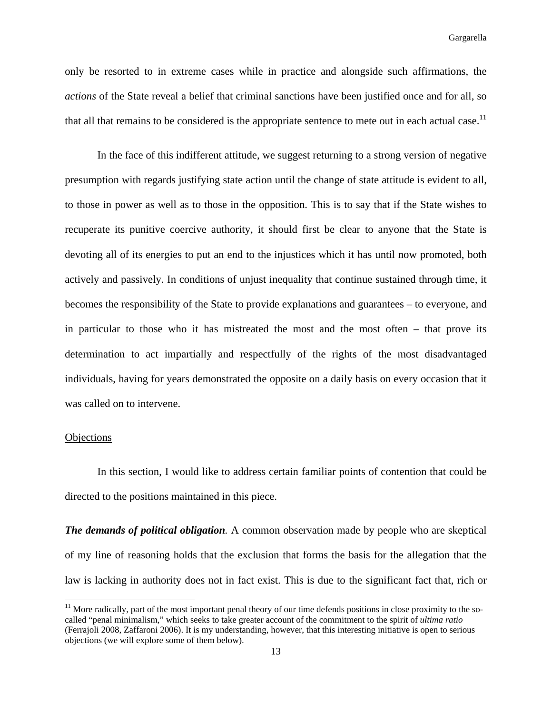only be resorted to in extreme cases while in practice and alongside such affirmations, the *actions* of the State reveal a belief that criminal sanctions have been justified once and for all, so that all that remains to be considered is the appropriate sentence to mete out in each actual case.<sup>11</sup>

 In the face of this indifferent attitude, we suggest returning to a strong version of negative presumption with regards justifying state action until the change of state attitude is evident to all, to those in power as well as to those in the opposition. This is to say that if the State wishes to recuperate its punitive coercive authority, it should first be clear to anyone that the State is devoting all of its energies to put an end to the injustices which it has until now promoted, both actively and passively. In conditions of unjust inequality that continue sustained through time, it becomes the responsibility of the State to provide explanations and guarantees – to everyone, and in particular to those who it has mistreated the most and the most often – that prove its determination to act impartially and respectfully of the rights of the most disadvantaged individuals, having for years demonstrated the opposite on a daily basis on every occasion that it was called on to intervene.

## **Objections**

 In this section, I would like to address certain familiar points of contention that could be directed to the positions maintained in this piece.

*The demands of political obligation.* A common observation made by people who are skeptical of my line of reasoning holds that the exclusion that forms the basis for the allegation that the law is lacking in authority does not in fact exist. This is due to the significant fact that, rich or

 $11$  More radically, part of the most important penal theory of our time defends positions in close proximity to the socalled "penal minimalism," which seeks to take greater account of the commitment to the spirit of *ultima ratio* (Ferrajoli 2008, Zaffaroni 2006). It is my understanding, however, that this interesting initiative is open to serious objections (we will explore some of them below).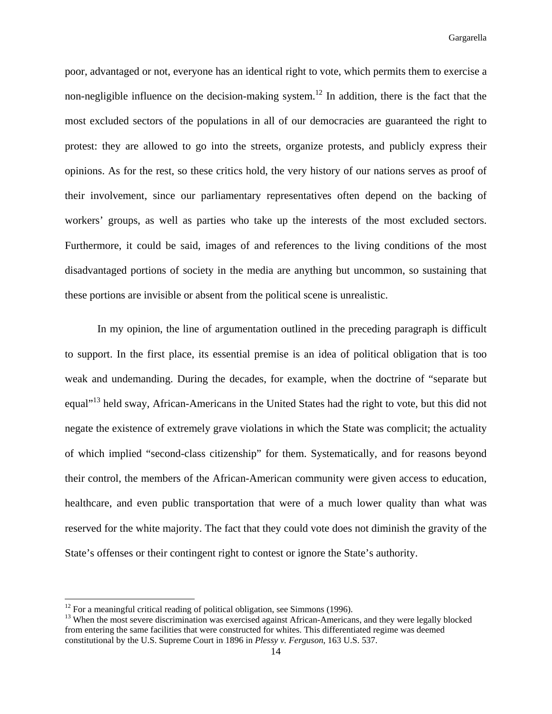poor, advantaged or not, everyone has an identical right to vote, which permits them to exercise a non-negligible influence on the decision-making system.<sup>12</sup> In addition, there is the fact that the most excluded sectors of the populations in all of our democracies are guaranteed the right to protest: they are allowed to go into the streets, organize protests, and publicly express their opinions. As for the rest, so these critics hold, the very history of our nations serves as proof of their involvement, since our parliamentary representatives often depend on the backing of workers' groups, as well as parties who take up the interests of the most excluded sectors. Furthermore, it could be said, images of and references to the living conditions of the most disadvantaged portions of society in the media are anything but uncommon, so sustaining that these portions are invisible or absent from the political scene is unrealistic.

 In my opinion, the line of argumentation outlined in the preceding paragraph is difficult to support. In the first place, its essential premise is an idea of political obligation that is too weak and undemanding. During the decades, for example, when the doctrine of "separate but equal"<sup>13</sup> held sway, African-Americans in the United States had the right to vote, but this did not negate the existence of extremely grave violations in which the State was complicit; the actuality of which implied "second-class citizenship" for them. Systematically, and for reasons beyond their control, the members of the African-American community were given access to education, healthcare, and even public transportation that were of a much lower quality than what was reserved for the white majority. The fact that they could vote does not diminish the gravity of the State's offenses or their contingent right to contest or ignore the State's authority.

 $12$  For a meaningful critical reading of political obligation, see Simmons (1996).

<sup>&</sup>lt;sup>13</sup> When the most severe discrimination was exercised against African-Americans, and they were legally blocked from entering the same facilities that were constructed for whites. This differentiated regime was deemed constitutional by the U.S. Supreme Court in 1896 in *Plessy v. Ferguson*, 163 U.S. 537.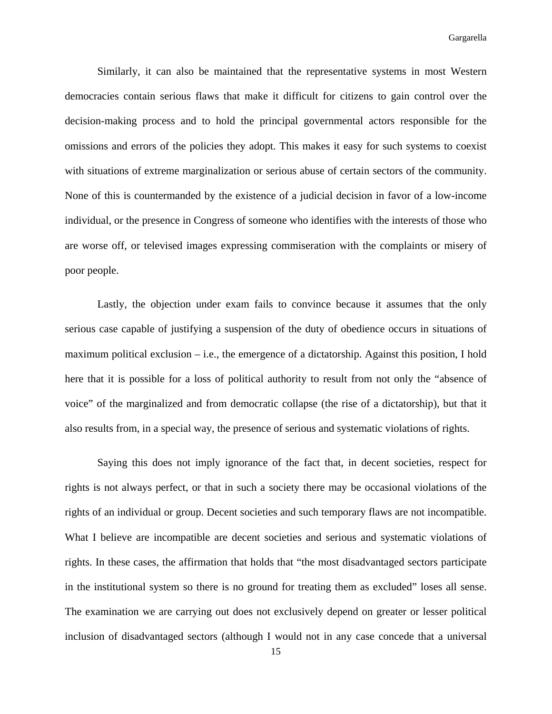Similarly, it can also be maintained that the representative systems in most Western democracies contain serious flaws that make it difficult for citizens to gain control over the decision-making process and to hold the principal governmental actors responsible for the omissions and errors of the policies they adopt. This makes it easy for such systems to coexist with situations of extreme marginalization or serious abuse of certain sectors of the community. None of this is countermanded by the existence of a judicial decision in favor of a low-income individual, or the presence in Congress of someone who identifies with the interests of those who are worse off, or televised images expressing commiseration with the complaints or misery of poor people.

 Lastly, the objection under exam fails to convince because it assumes that the only serious case capable of justifying a suspension of the duty of obedience occurs in situations of maximum political exclusion  $-$  i.e., the emergence of a dictatorship. Against this position, I hold here that it is possible for a loss of political authority to result from not only the "absence of voice" of the marginalized and from democratic collapse (the rise of a dictatorship), but that it also results from, in a special way, the presence of serious and systematic violations of rights.

 Saying this does not imply ignorance of the fact that, in decent societies, respect for rights is not always perfect, or that in such a society there may be occasional violations of the rights of an individual or group. Decent societies and such temporary flaws are not incompatible. What I believe are incompatible are decent societies and serious and systematic violations of rights. In these cases, the affirmation that holds that "the most disadvantaged sectors participate in the institutional system so there is no ground for treating them as excluded" loses all sense. The examination we are carrying out does not exclusively depend on greater or lesser political inclusion of disadvantaged sectors (although I would not in any case concede that a universal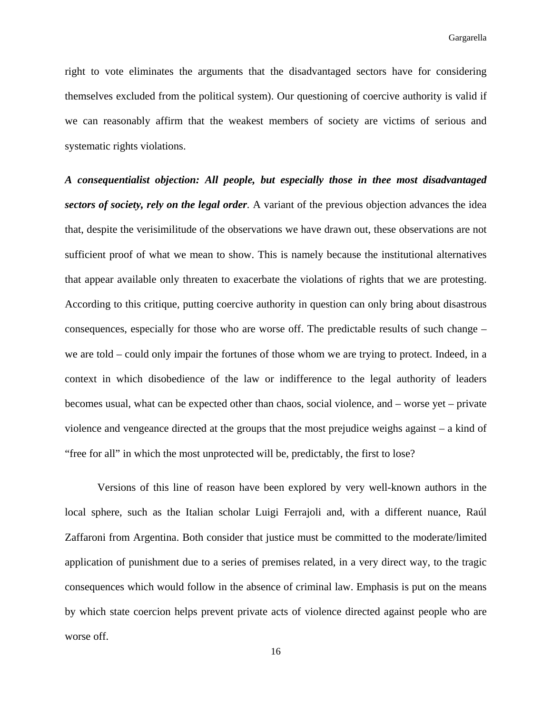right to vote eliminates the arguments that the disadvantaged sectors have for considering themselves excluded from the political system). Our questioning of coercive authority is valid if we can reasonably affirm that the weakest members of society are victims of serious and systematic rights violations.

*A consequentialist objection: All people, but especially those in thee most disadvantaged sectors of society, rely on the legal order.* A variant of the previous objection advances the idea that, despite the verisimilitude of the observations we have drawn out, these observations are not sufficient proof of what we mean to show. This is namely because the institutional alternatives that appear available only threaten to exacerbate the violations of rights that we are protesting. According to this critique, putting coercive authority in question can only bring about disastrous consequences, especially for those who are worse off. The predictable results of such change – we are told – could only impair the fortunes of those whom we are trying to protect. Indeed, in a context in which disobedience of the law or indifference to the legal authority of leaders becomes usual, what can be expected other than chaos, social violence, and – worse yet – private violence and vengeance directed at the groups that the most prejudice weighs against – a kind of "free for all" in which the most unprotected will be, predictably, the first to lose?

 Versions of this line of reason have been explored by very well-known authors in the local sphere, such as the Italian scholar Luigi Ferrajoli and, with a different nuance, Raúl Zaffaroni from Argentina. Both consider that justice must be committed to the moderate/limited application of punishment due to a series of premises related, in a very direct way, to the tragic consequences which would follow in the absence of criminal law. Emphasis is put on the means by which state coercion helps prevent private acts of violence directed against people who are worse off.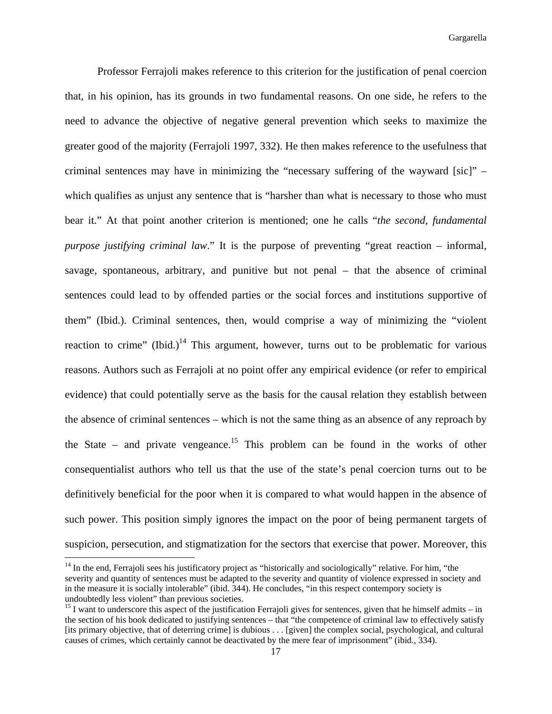Professor Ferrajoli makes reference to this criterion for the justification of penal coercion that, in his opinion, has its grounds in two fundamental reasons. On one side, he refers to the need to advance the objective of negative general prevention which seeks to maximize the greater good of the majority (Ferrajoli 1997, 332). He then makes reference to the usefulness that criminal sentences may have in minimizing the "necessary suffering of the wayward [sic]" – which qualifies as unjust any sentence that is "harsher than what is necessary to those who must bear it." At that point another criterion is mentioned; one he calls "*the second, fundamental purpose justifying criminal law*." It is the purpose of preventing "great reaction – informal, savage, spontaneous, arbitrary, and punitive but not penal – that the absence of criminal sentences could lead to by offended parties or the social forces and institutions supportive of them" (Ibid.). Criminal sentences, then, would comprise a way of minimizing the "violent reaction to crime" (Ibid.)<sup>14</sup> This argument, however, turns out to be problematic for various reasons. Authors such as Ferrajoli at no point offer any empirical evidence (or refer to empirical evidence) that could potentially serve as the basis for the causal relation they establish between the absence of criminal sentences – which is not the same thing as an absence of any reproach by the State – and private vengeance.<sup>15</sup> This problem can be found in the works of other consequentialist authors who tell us that the use of the state's penal coercion turns out to be definitively beneficial for the poor when it is compared to what would happen in the absence of such power. This position simply ignores the impact on the poor of being permanent targets of suspicion, persecution, and stigmatization for the sectors that exercise that power. Moreover, this

<sup>&</sup>lt;sup>14</sup> In the end, Ferrajoli sees his justificatory project as "historically and sociologically" relative. For him, "the severity and quantity of sentences must be adapted to the severity and quantity of violence expressed in society and in the measure it is socially intolerable" (ibid. 344). He concludes, "in this respect contempory society is undoubtedly less violent" than previous societies.

 $15$  I want to underscore this aspect of the justification Ferrajoli gives for sentences, given that he himself admits – in the section of his book dedicated to justifying sentences – that "the competence of criminal law to effectively satisfy [its primary objective, that of deterring crime] is dubious . . . [given] the complex social, psychological, and cultural causes of crimes, which certainly cannot be deactivated by the mere fear of imprisonment" (ibid., 334).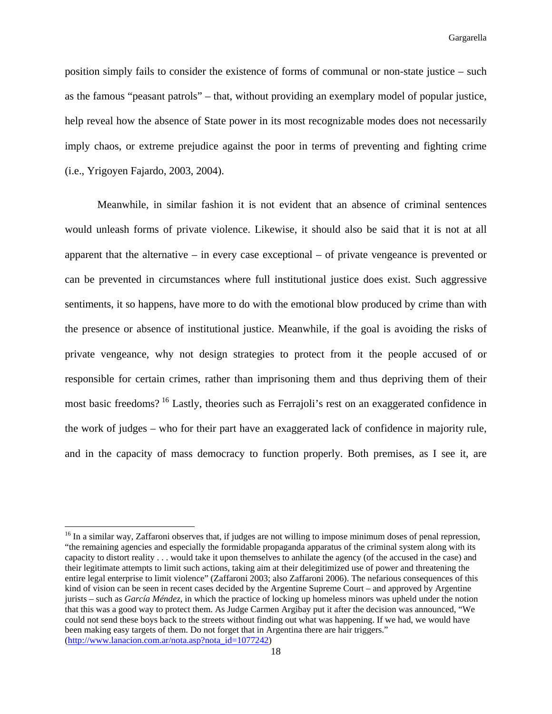position simply fails to consider the existence of forms of communal or non-state justice – such as the famous "peasant patrols" – that, without providing an exemplary model of popular justice, help reveal how the absence of State power in its most recognizable modes does not necessarily imply chaos, or extreme prejudice against the poor in terms of preventing and fighting crime (i.e., Yrigoyen Fajardo, 2003, 2004).

 Meanwhile, in similar fashion it is not evident that an absence of criminal sentences would unleash forms of private violence. Likewise, it should also be said that it is not at all apparent that the alternative – in every case exceptional – of private vengeance is prevented or can be prevented in circumstances where full institutional justice does exist. Such aggressive sentiments, it so happens, have more to do with the emotional blow produced by crime than with the presence or absence of institutional justice. Meanwhile, if the goal is avoiding the risks of private vengeance, why not design strategies to protect from it the people accused of or responsible for certain crimes, rather than imprisoning them and thus depriving them of their most basic freedoms? 16 Lastly, theories such as Ferrajoli's rest on an exaggerated confidence in the work of judges – who for their part have an exaggerated lack of confidence in majority rule, and in the capacity of mass democracy to function properly. Both premises, as I see it, are

<sup>&</sup>lt;sup>16</sup> In a similar way, Zaffaroni observes that, if judges are not willing to impose minimum doses of penal repression, "the remaining agencies and especially the formidable propaganda apparatus of the criminal system along with its capacity to distort reality . . . would take it upon themselves to anhilate the agency (of the accused in the case) and their legitimate attempts to limit such actions, taking aim at their delegitimized use of power and threatening the entire legal enterprise to limit violence" (Zaffaroni 2003; also Zaffaroni 2006). The nefarious consequences of this kind of vision can be seen in recent cases decided by the Argentine Supreme Court – and approved by Argentine jurists – such as *García Méndez*, in which the practice of locking up homeless minors was upheld under the notion that this was a good way to protect them. As Judge Carmen Argibay put it after the decision was announced, "We could not send these boys back to the streets without finding out what was happening. If we had, we would have been making easy targets of them. Do not forget that in Argentina there are hair triggers." (http://www.lanacion.com.ar/nota.asp?nota\_id=1077242)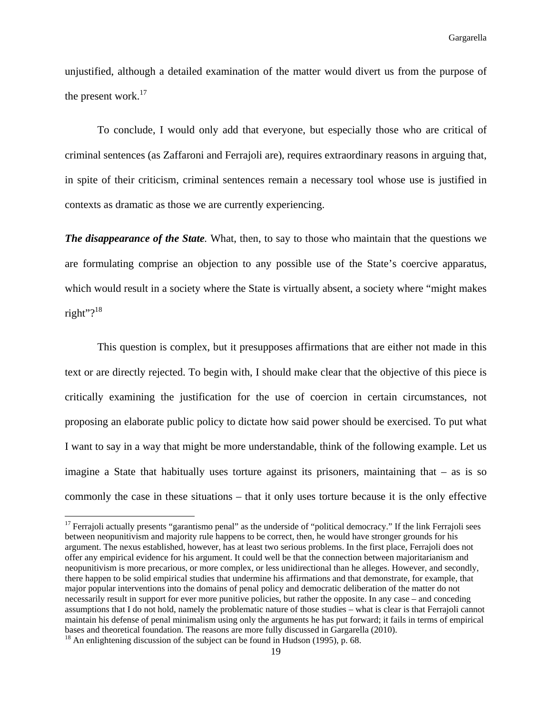unjustified, although a detailed examination of the matter would divert us from the purpose of the present work.<sup>17</sup>

 To conclude, I would only add that everyone, but especially those who are critical of criminal sentences (as Zaffaroni and Ferrajoli are), requires extraordinary reasons in arguing that, in spite of their criticism, criminal sentences remain a necessary tool whose use is justified in contexts as dramatic as those we are currently experiencing.

*The disappearance of the State.* What, then, to say to those who maintain that the questions we are formulating comprise an objection to any possible use of the State's coercive apparatus, which would result in a society where the State is virtually absent, a society where "might makes right"? $18$ 

 This question is complex, but it presupposes affirmations that are either not made in this text or are directly rejected. To begin with, I should make clear that the objective of this piece is critically examining the justification for the use of coercion in certain circumstances, not proposing an elaborate public policy to dictate how said power should be exercised. To put what I want to say in a way that might be more understandable, think of the following example. Let us imagine a State that habitually uses torture against its prisoners, maintaining that  $-$  as is so commonly the case in these situations – that it only uses torture because it is the only effective

 $17$  Ferraioli actually presents "garantismo penal" as the underside of "political democracy." If the link Ferrajoli sees between neopunitivism and majority rule happens to be correct, then, he would have stronger grounds for his argument. The nexus established, however, has at least two serious problems. In the first place, Ferrajoli does not offer any empirical evidence for his argument. It could well be that the connection between majoritarianism and neopunitivism is more precarious, or more complex, or less unidirectional than he alleges. However, and secondly, there happen to be solid empirical studies that undermine his affirmations and that demonstrate, for example, that major popular interventions into the domains of penal policy and democratic deliberation of the matter do not necessarily result in support for ever more punitive policies, but rather the opposite. In any case – and conceding assumptions that I do not hold, namely the problematic nature of those studies – what is clear is that Ferrajoli cannot maintain his defense of penal minimalism using only the arguments he has put forward; it fails in terms of empirical bases and theoretical foundation. The reasons are more fully discussed in Gargarella (2010).

<sup>&</sup>lt;sup>18</sup> An enlightening discussion of the subject can be found in Hudson (1995), p. 68.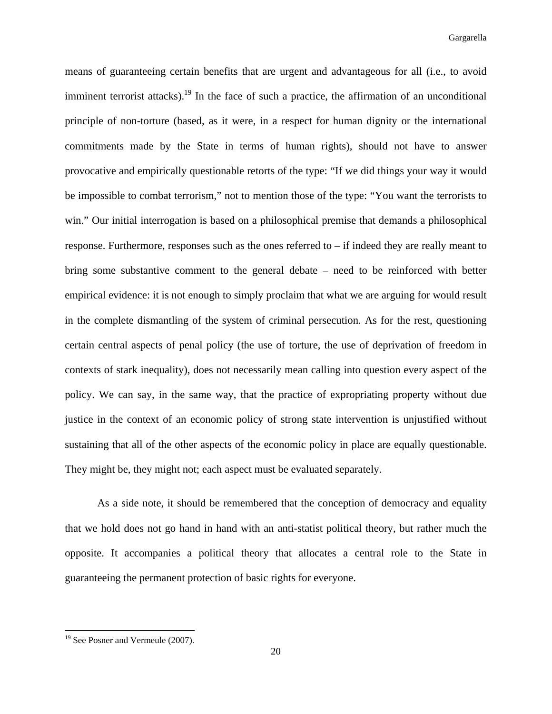means of guaranteeing certain benefits that are urgent and advantageous for all (i.e., to avoid imminent terrorist attacks).<sup>19</sup> In the face of such a practice, the affirmation of an unconditional principle of non-torture (based, as it were, in a respect for human dignity or the international commitments made by the State in terms of human rights), should not have to answer provocative and empirically questionable retorts of the type: "If we did things your way it would be impossible to combat terrorism," not to mention those of the type: "You want the terrorists to win." Our initial interrogation is based on a philosophical premise that demands a philosophical response. Furthermore, responses such as the ones referred to – if indeed they are really meant to bring some substantive comment to the general debate – need to be reinforced with better empirical evidence: it is not enough to simply proclaim that what we are arguing for would result in the complete dismantling of the system of criminal persecution. As for the rest, questioning certain central aspects of penal policy (the use of torture, the use of deprivation of freedom in contexts of stark inequality), does not necessarily mean calling into question every aspect of the policy. We can say, in the same way, that the practice of expropriating property without due justice in the context of an economic policy of strong state intervention is unjustified without sustaining that all of the other aspects of the economic policy in place are equally questionable. They might be, they might not; each aspect must be evaluated separately.

 As a side note, it should be remembered that the conception of democracy and equality that we hold does not go hand in hand with an anti-statist political theory, but rather much the opposite. It accompanies a political theory that allocates a central role to the State in guaranteeing the permanent protection of basic rights for everyone.

 <sup>19</sup> See Posner and Vermeule (2007).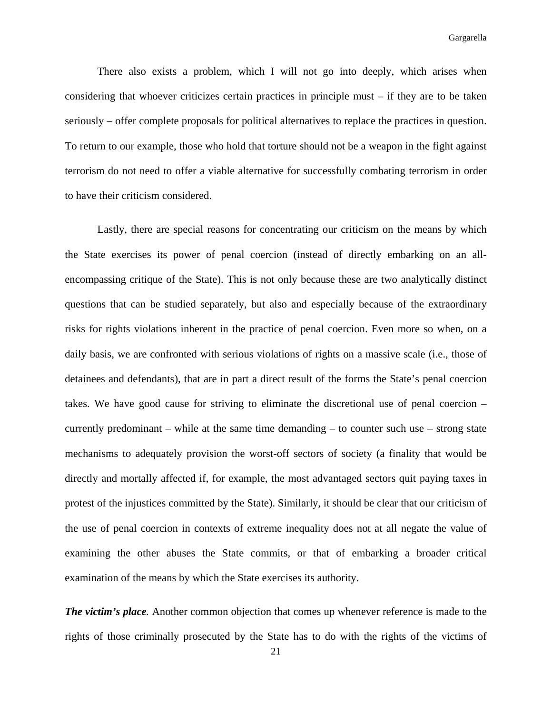There also exists a problem, which I will not go into deeply, which arises when considering that whoever criticizes certain practices in principle must – if they are to be taken seriously – offer complete proposals for political alternatives to replace the practices in question. To return to our example, those who hold that torture should not be a weapon in the fight against terrorism do not need to offer a viable alternative for successfully combating terrorism in order to have their criticism considered.

 Lastly, there are special reasons for concentrating our criticism on the means by which the State exercises its power of penal coercion (instead of directly embarking on an allencompassing critique of the State). This is not only because these are two analytically distinct questions that can be studied separately, but also and especially because of the extraordinary risks for rights violations inherent in the practice of penal coercion. Even more so when, on a daily basis, we are confronted with serious violations of rights on a massive scale (i.e., those of detainees and defendants), that are in part a direct result of the forms the State's penal coercion takes. We have good cause for striving to eliminate the discretional use of penal coercion – currently predominant – while at the same time demanding – to counter such use – strong state mechanisms to adequately provision the worst-off sectors of society (a finality that would be directly and mortally affected if, for example, the most advantaged sectors quit paying taxes in protest of the injustices committed by the State). Similarly, it should be clear that our criticism of the use of penal coercion in contexts of extreme inequality does not at all negate the value of examining the other abuses the State commits, or that of embarking a broader critical examination of the means by which the State exercises its authority.

*The victim's place.* Another common objection that comes up whenever reference is made to the rights of those criminally prosecuted by the State has to do with the rights of the victims of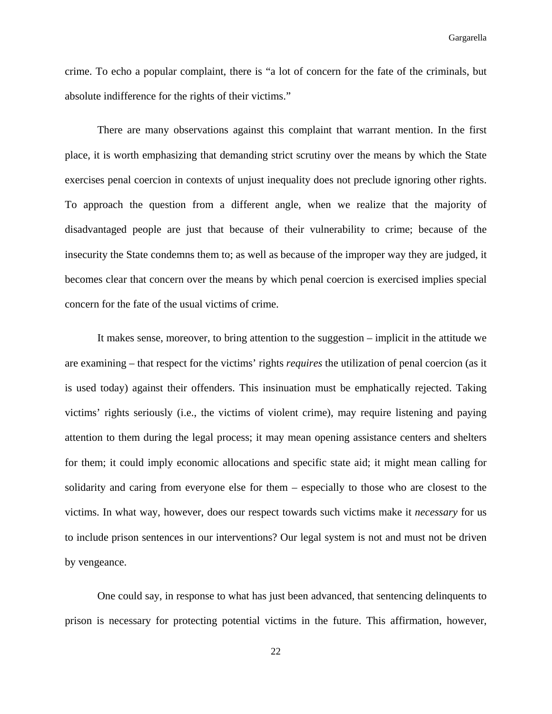crime. To echo a popular complaint, there is "a lot of concern for the fate of the criminals, but absolute indifference for the rights of their victims."

 There are many observations against this complaint that warrant mention. In the first place, it is worth emphasizing that demanding strict scrutiny over the means by which the State exercises penal coercion in contexts of unjust inequality does not preclude ignoring other rights. To approach the question from a different angle, when we realize that the majority of disadvantaged people are just that because of their vulnerability to crime; because of the insecurity the State condemns them to; as well as because of the improper way they are judged, it becomes clear that concern over the means by which penal coercion is exercised implies special concern for the fate of the usual victims of crime.

 It makes sense, moreover, to bring attention to the suggestion – implicit in the attitude we are examining – that respect for the victims' rights *requires* the utilization of penal coercion (as it is used today) against their offenders. This insinuation must be emphatically rejected. Taking victims' rights seriously (i.e., the victims of violent crime), may require listening and paying attention to them during the legal process; it may mean opening assistance centers and shelters for them; it could imply economic allocations and specific state aid; it might mean calling for solidarity and caring from everyone else for them – especially to those who are closest to the victims. In what way, however, does our respect towards such victims make it *necessary* for us to include prison sentences in our interventions? Our legal system is not and must not be driven by vengeance.

 One could say, in response to what has just been advanced, that sentencing delinquents to prison is necessary for protecting potential victims in the future. This affirmation, however,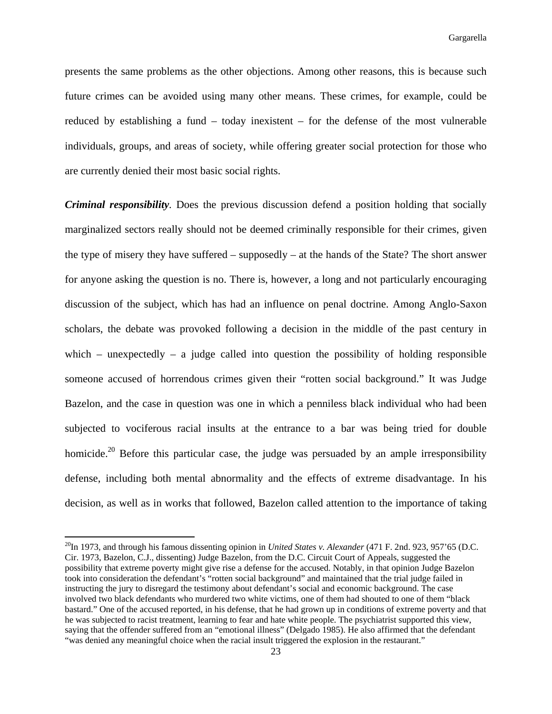presents the same problems as the other objections. Among other reasons, this is because such future crimes can be avoided using many other means. These crimes, for example, could be reduced by establishing a fund – today inexistent – for the defense of the most vulnerable individuals, groups, and areas of society, while offering greater social protection for those who are currently denied their most basic social rights.

*Criminal responsibility.* Does the previous discussion defend a position holding that socially marginalized sectors really should not be deemed criminally responsible for their crimes, given the type of misery they have suffered – supposedly – at the hands of the State? The short answer for anyone asking the question is no. There is, however, a long and not particularly encouraging discussion of the subject, which has had an influence on penal doctrine. Among Anglo-Saxon scholars, the debate was provoked following a decision in the middle of the past century in which – unexpectedly – a judge called into question the possibility of holding responsible someone accused of horrendous crimes given their "rotten social background." It was Judge Bazelon, and the case in question was one in which a penniless black individual who had been subjected to vociferous racial insults at the entrance to a bar was being tried for double homicide.<sup>20</sup> Before this particular case, the judge was persuaded by an ample irresponsibility defense, including both mental abnormality and the effects of extreme disadvantage. In his decision, as well as in works that followed, Bazelon called attention to the importance of taking

<sup>&</sup>lt;sup>20</sup>In 1973, and through his famous dissenting opinion in *United States v. Alexander* (471 F. 2nd. 923, 957'65 (D.C. Cir. 1973, Bazelon, C.J., dissenting) Judge Bazelon, from the D.C. Circuit Court of Appeals, suggested the possibility that extreme poverty might give rise a defense for the accused. Notably, in that opinion Judge Bazelon took into consideration the defendant's "rotten social background" and maintained that the trial judge failed in instructing the jury to disregard the testimony about defendant's social and economic background. The case involved two black defendants who murdered two white victims, one of them had shouted to one of them "black bastard." One of the accused reported, in his defense, that he had grown up in conditions of extreme poverty and that he was subjected to racist treatment, learning to fear and hate white people. The psychiatrist supported this view, saying that the offender suffered from an "emotional illness" (Delgado 1985). He also affirmed that the defendant "was denied any meaningful choice when the racial insult triggered the explosion in the restaurant."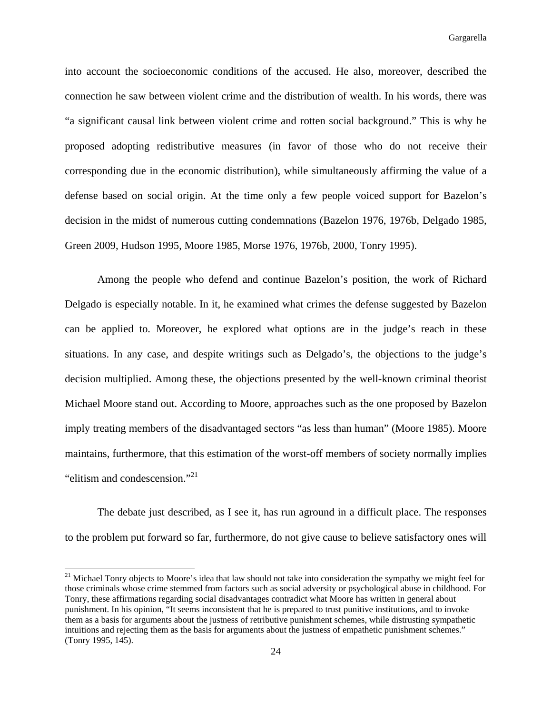into account the socioeconomic conditions of the accused. He also, moreover, described the connection he saw between violent crime and the distribution of wealth. In his words, there was "a significant causal link between violent crime and rotten social background." This is why he proposed adopting redistributive measures (in favor of those who do not receive their corresponding due in the economic distribution), while simultaneously affirming the value of a defense based on social origin. At the time only a few people voiced support for Bazelon's decision in the midst of numerous cutting condemnations (Bazelon 1976, 1976b, Delgado 1985, Green 2009, Hudson 1995, Moore 1985, Morse 1976, 1976b, 2000, Tonry 1995).

 Among the people who defend and continue Bazelon's position, the work of Richard Delgado is especially notable. In it, he examined what crimes the defense suggested by Bazelon can be applied to. Moreover, he explored what options are in the judge's reach in these situations. In any case, and despite writings such as Delgado's, the objections to the judge's decision multiplied. Among these, the objections presented by the well-known criminal theorist Michael Moore stand out. According to Moore, approaches such as the one proposed by Bazelon imply treating members of the disadvantaged sectors "as less than human" (Moore 1985). Moore maintains, furthermore, that this estimation of the worst-off members of society normally implies "elitism and condescension."<sup>21</sup>

 The debate just described, as I see it, has run aground in a difficult place. The responses to the problem put forward so far, furthermore, do not give cause to believe satisfactory ones will

<sup>&</sup>lt;sup>21</sup> Michael Tonry objects to Moore's idea that law should not take into consideration the sympathy we might feel for those criminals whose crime stemmed from factors such as social adversity or psychological abuse in childhood. For Tonry, these affirmations regarding social disadvantages contradict what Moore has written in general about punishment. In his opinion, "It seems inconsistent that he is prepared to trust punitive institutions, and to invoke them as a basis for arguments about the justness of retributive punishment schemes, while distrusting sympathetic intuitions and rejecting them as the basis for arguments about the justness of empathetic punishment schemes." (Tonry 1995, 145).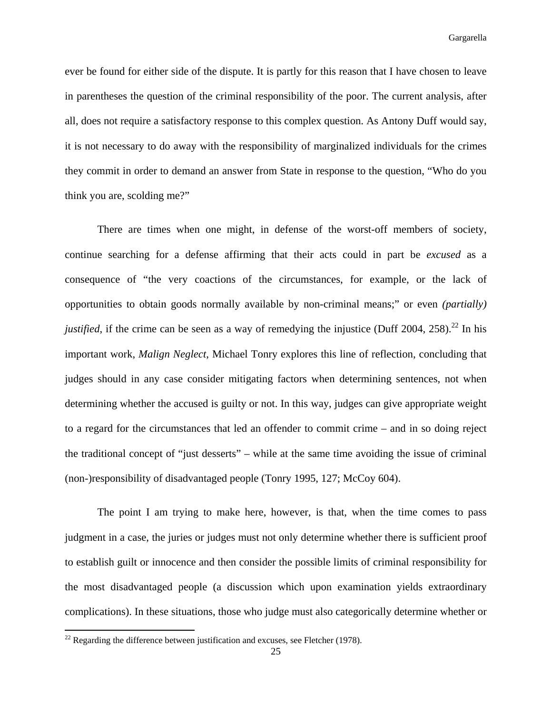ever be found for either side of the dispute. It is partly for this reason that I have chosen to leave in parentheses the question of the criminal responsibility of the poor. The current analysis, after all, does not require a satisfactory response to this complex question. As Antony Duff would say, it is not necessary to do away with the responsibility of marginalized individuals for the crimes they commit in order to demand an answer from State in response to the question, "Who do you think you are, scolding me?"

 There are times when one might, in defense of the worst-off members of society, continue searching for a defense affirming that their acts could in part be *excused* as a consequence of "the very coactions of the circumstances, for example, or the lack of opportunities to obtain goods normally available by non-criminal means;" or even *(partially) justified*, if the crime can be seen as a way of remedying the injustice (Duff 2004, 258).<sup>22</sup> In his important work, *Malign Neglect*, Michael Tonry explores this line of reflection, concluding that judges should in any case consider mitigating factors when determining sentences, not when determining whether the accused is guilty or not. In this way, judges can give appropriate weight to a regard for the circumstances that led an offender to commit crime – and in so doing reject the traditional concept of "just desserts" – while at the same time avoiding the issue of criminal (non-)responsibility of disadvantaged people (Tonry 1995, 127; McCoy 604).

 The point I am trying to make here, however, is that, when the time comes to pass judgment in a case, the juries or judges must not only determine whether there is sufficient proof to establish guilt or innocence and then consider the possible limits of criminal responsibility for the most disadvantaged people (a discussion which upon examination yields extraordinary complications). In these situations, those who judge must also categorically determine whether or

 $22$  Regarding the difference between justification and excuses, see Fletcher (1978).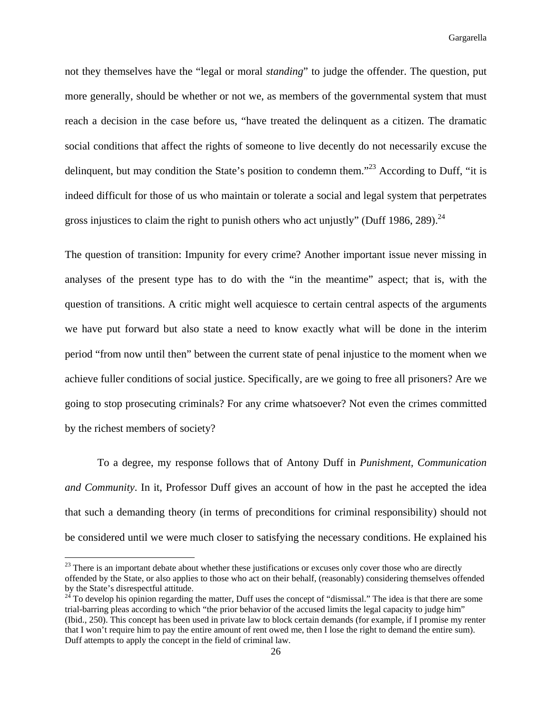not they themselves have the "legal or moral *standing*" to judge the offender. The question, put more generally, should be whether or not we, as members of the governmental system that must reach a decision in the case before us, "have treated the delinquent as a citizen. The dramatic social conditions that affect the rights of someone to live decently do not necessarily excuse the delinquent, but may condition the State's position to condemn them."<sup>23</sup> According to Duff, "it is indeed difficult for those of us who maintain or tolerate a social and legal system that perpetrates gross injustices to claim the right to punish others who act unjustly" (Duff 1986, 289).<sup>24</sup>

The question of transition: Impunity for every crime? Another important issue never missing in analyses of the present type has to do with the "in the meantime" aspect; that is, with the question of transitions. A critic might well acquiesce to certain central aspects of the arguments we have put forward but also state a need to know exactly what will be done in the interim period "from now until then" between the current state of penal injustice to the moment when we achieve fuller conditions of social justice. Specifically, are we going to free all prisoners? Are we going to stop prosecuting criminals? For any crime whatsoever? Not even the crimes committed by the richest members of society?

 To a degree, my response follows that of Antony Duff in *Punishment, Communication and Community*. In it, Professor Duff gives an account of how in the past he accepted the idea that such a demanding theory (in terms of preconditions for criminal responsibility) should not be considered until we were much closer to satisfying the necessary conditions. He explained his

 $23$  There is an important debate about whether these justifications or excuses only cover those who are directly offended by the State, or also applies to those who act on their behalf, (reasonably) considering themselves offended by the State's disrespectful attitude.

 $24$  To develop his opinion regarding the matter, Duff uses the concept of "dismissal." The idea is that there are some trial-barring pleas according to which "the prior behavior of the accused limits the legal capacity to judge him" (Ibid., 250). This concept has been used in private law to block certain demands (for example, if I promise my renter that I won't require him to pay the entire amount of rent owed me, then I lose the right to demand the entire sum). Duff attempts to apply the concept in the field of criminal law.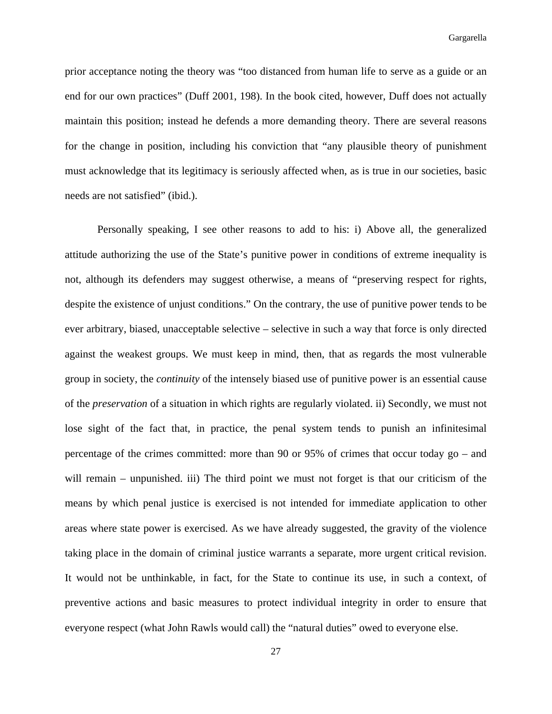prior acceptance noting the theory was "too distanced from human life to serve as a guide or an end for our own practices" (Duff 2001, 198). In the book cited, however, Duff does not actually maintain this position; instead he defends a more demanding theory. There are several reasons for the change in position, including his conviction that "any plausible theory of punishment must acknowledge that its legitimacy is seriously affected when, as is true in our societies, basic needs are not satisfied" (ibid.).

 Personally speaking, I see other reasons to add to his: i) Above all, the generalized attitude authorizing the use of the State's punitive power in conditions of extreme inequality is not, although its defenders may suggest otherwise, a means of "preserving respect for rights, despite the existence of unjust conditions." On the contrary, the use of punitive power tends to be ever arbitrary, biased, unacceptable selective – selective in such a way that force is only directed against the weakest groups. We must keep in mind, then, that as regards the most vulnerable group in society, the *continuity* of the intensely biased use of punitive power is an essential cause of the *preservation* of a situation in which rights are regularly violated. ii) Secondly, we must not lose sight of the fact that, in practice, the penal system tends to punish an infinitesimal percentage of the crimes committed: more than 90 or 95% of crimes that occur today go – and will remain – unpunished. iii) The third point we must not forget is that our criticism of the means by which penal justice is exercised is not intended for immediate application to other areas where state power is exercised. As we have already suggested, the gravity of the violence taking place in the domain of criminal justice warrants a separate, more urgent critical revision. It would not be unthinkable, in fact, for the State to continue its use, in such a context, of preventive actions and basic measures to protect individual integrity in order to ensure that everyone respect (what John Rawls would call) the "natural duties" owed to everyone else.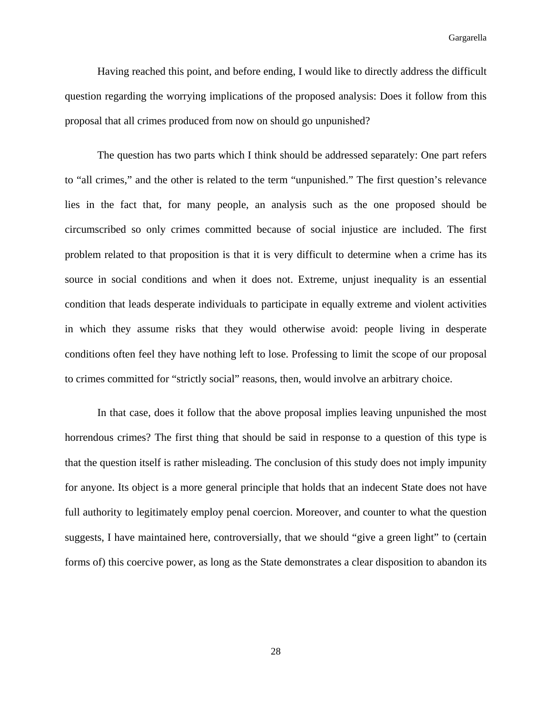Having reached this point, and before ending, I would like to directly address the difficult question regarding the worrying implications of the proposed analysis: Does it follow from this proposal that all crimes produced from now on should go unpunished?

 The question has two parts which I think should be addressed separately: One part refers to "all crimes," and the other is related to the term "unpunished." The first question's relevance lies in the fact that, for many people, an analysis such as the one proposed should be circumscribed so only crimes committed because of social injustice are included. The first problem related to that proposition is that it is very difficult to determine when a crime has its source in social conditions and when it does not. Extreme, unjust inequality is an essential condition that leads desperate individuals to participate in equally extreme and violent activities in which they assume risks that they would otherwise avoid: people living in desperate conditions often feel they have nothing left to lose. Professing to limit the scope of our proposal to crimes committed for "strictly social" reasons, then, would involve an arbitrary choice.

 In that case, does it follow that the above proposal implies leaving unpunished the most horrendous crimes? The first thing that should be said in response to a question of this type is that the question itself is rather misleading. The conclusion of this study does not imply impunity for anyone. Its object is a more general principle that holds that an indecent State does not have full authority to legitimately employ penal coercion. Moreover, and counter to what the question suggests, I have maintained here, controversially, that we should "give a green light" to (certain forms of) this coercive power, as long as the State demonstrates a clear disposition to abandon its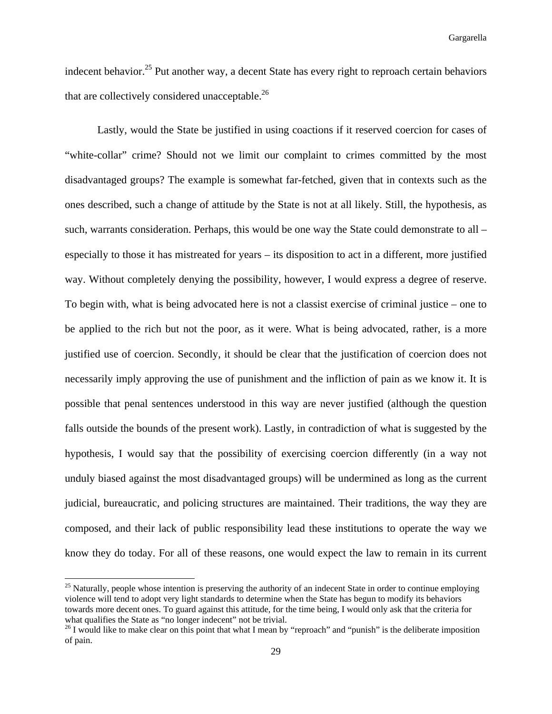indecent behavior.<sup>25</sup> Put another way, a decent State has every right to reproach certain behaviors that are collectively considered unacceptable.<sup>26</sup>

 Lastly, would the State be justified in using coactions if it reserved coercion for cases of "white-collar" crime? Should not we limit our complaint to crimes committed by the most disadvantaged groups? The example is somewhat far-fetched, given that in contexts such as the ones described, such a change of attitude by the State is not at all likely. Still, the hypothesis, as such, warrants consideration. Perhaps, this would be one way the State could demonstrate to all – especially to those it has mistreated for years – its disposition to act in a different, more justified way. Without completely denying the possibility, however, I would express a degree of reserve. To begin with, what is being advocated here is not a classist exercise of criminal justice – one to be applied to the rich but not the poor, as it were. What is being advocated, rather, is a more justified use of coercion. Secondly, it should be clear that the justification of coercion does not necessarily imply approving the use of punishment and the infliction of pain as we know it. It is possible that penal sentences understood in this way are never justified (although the question falls outside the bounds of the present work). Lastly, in contradiction of what is suggested by the hypothesis, I would say that the possibility of exercising coercion differently (in a way not unduly biased against the most disadvantaged groups) will be undermined as long as the current judicial, bureaucratic, and policing structures are maintained. Their traditions, the way they are composed, and their lack of public responsibility lead these institutions to operate the way we know they do today. For all of these reasons, one would expect the law to remain in its current

<sup>&</sup>lt;sup>25</sup> Naturally, people whose intention is preserving the authority of an indecent State in order to continue employing violence will tend to adopt very light standards to determine when the State has begun to modify its behaviors towards more decent ones. To guard against this attitude, for the time being, I would only ask that the criteria for what qualifies the State as "no longer indecent" not be trivial.

 $^{26}$  I would like to make clear on this point that what I mean by "reproach" and "punish" is the deliberate imposition of pain.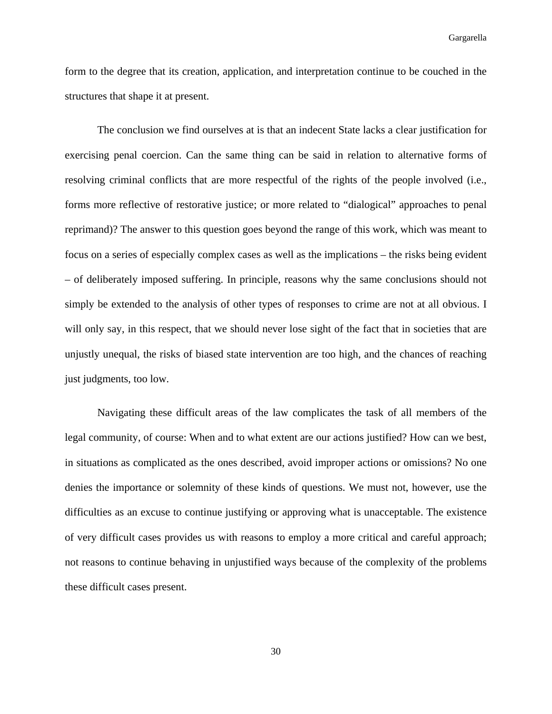form to the degree that its creation, application, and interpretation continue to be couched in the structures that shape it at present.

 The conclusion we find ourselves at is that an indecent State lacks a clear justification for exercising penal coercion. Can the same thing can be said in relation to alternative forms of resolving criminal conflicts that are more respectful of the rights of the people involved (i.e., forms more reflective of restorative justice; or more related to "dialogical" approaches to penal reprimand)? The answer to this question goes beyond the range of this work, which was meant to focus on a series of especially complex cases as well as the implications – the risks being evident – of deliberately imposed suffering. In principle, reasons why the same conclusions should not simply be extended to the analysis of other types of responses to crime are not at all obvious. I will only say, in this respect, that we should never lose sight of the fact that in societies that are unjustly unequal, the risks of biased state intervention are too high, and the chances of reaching just judgments, too low.

 Navigating these difficult areas of the law complicates the task of all members of the legal community, of course: When and to what extent are our actions justified? How can we best, in situations as complicated as the ones described, avoid improper actions or omissions? No one denies the importance or solemnity of these kinds of questions. We must not, however, use the difficulties as an excuse to continue justifying or approving what is unacceptable. The existence of very difficult cases provides us with reasons to employ a more critical and careful approach; not reasons to continue behaving in unjustified ways because of the complexity of the problems these difficult cases present.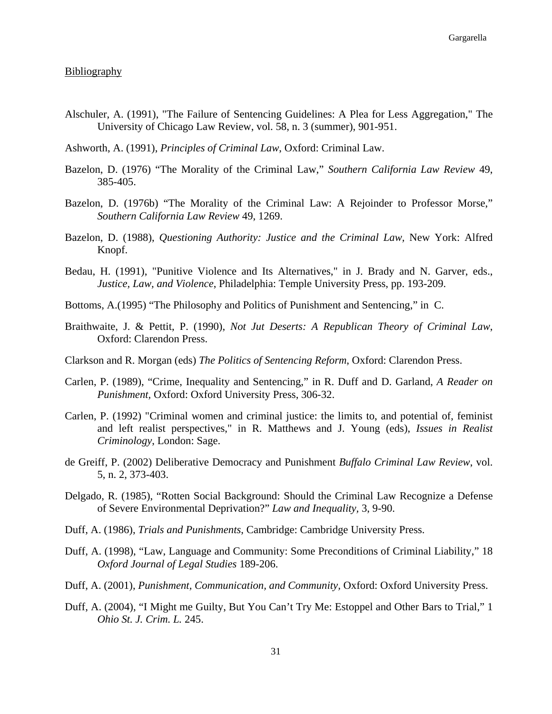## **Bibliography**

- Alschuler, A. (1991), "The Failure of Sentencing Guidelines: A Plea for Less Aggregation," The University of Chicago Law Review, vol. 58, n. 3 (summer), 901-951.
- Ashworth, A. (1991), *Principles of Criminal Law*, Oxford: Criminal Law.
- Bazelon, D. (1976) "The Morality of the Criminal Law," *Southern California Law Review* 49, 385-405.
- Bazelon, D. (1976b) "The Morality of the Criminal Law: A Rejoinder to Professor Morse," *Southern California Law Review* 49, 1269.
- Bazelon, D. (1988), *Questioning Authority: Justice and the Criminal Law,* New York: Alfred Knopf.
- Bedau, H. (1991), "Punitive Violence and Its Alternatives," in J. Brady and N. Garver, eds., *Justice, Law, and Violence*, Philadelphia: Temple University Press, pp. 193-209.
- Bottoms, A.(1995) "The Philosophy and Politics of Punishment and Sentencing," in C.
- Braithwaite, J. & Pettit, P. (1990), *Not Jut Deserts: A Republican Theory of Criminal Law*, Oxford: Clarendon Press.
- Clarkson and R. Morgan (eds) *The Politics of Sentencing Reform*, Oxford: Clarendon Press.
- Carlen, P. (1989), "Crime, Inequality and Sentencing," in R. Duff and D. Garland, *A Reader on Punishment,* Oxford: Oxford University Press, 306-32.
- Carlen, P. (1992) "Criminal women and criminal justice: the limits to, and potential of, feminist and left realist perspectives," in R. Matthews and J. Young (eds), *Issues in Realist Criminology*, London: Sage.
- de Greiff, P. (2002) Deliberative Democracy and Punishment *Buffalo Criminal Law Review*, vol. 5, n. 2, 373-403.
- Delgado, R. (1985), "Rotten Social Background: Should the Criminal Law Recognize a Defense of Severe Environmental Deprivation?" *Law and Inequality,* 3, 9-90.
- Duff, A. (1986), *Trials and Punishments*, Cambridge: Cambridge University Press.
- Duff, A. (1998), "Law, Language and Community: Some Preconditions of Criminal Liability," 18 *Oxford Journal of Legal Studies* 189-206.
- Duff, A. (2001), *Punishment, Communication, and Community,* Oxford: Oxford University Press.
- Duff, A. (2004), "I Might me Guilty, But You Can't Try Me: Estoppel and Other Bars to Trial," 1 *Ohio St. J. Crim. L.* 245.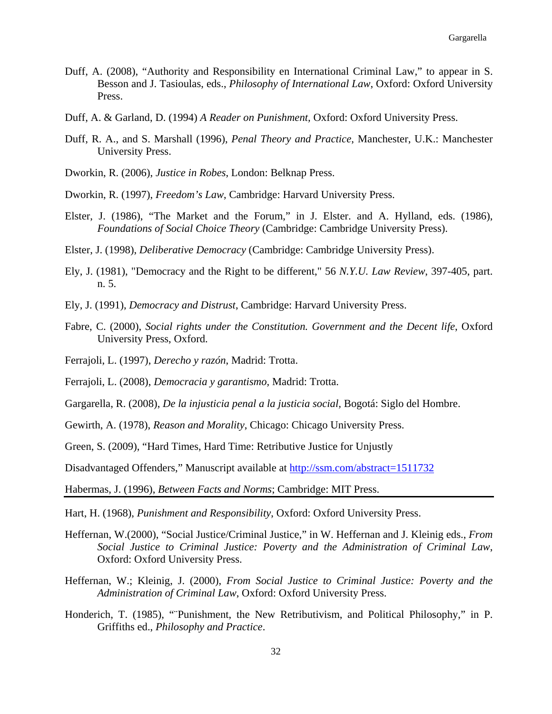- Duff, A. (2008), "Authority and Responsibility en International Criminal Law," to appear in S. Besson and J. Tasioulas, eds., *Philosophy of International Law*, Oxford: Oxford University Press.
- Duff, A. & Garland, D. (1994) *A Reader on Punishment,* Oxford: Oxford University Press.
- Duff, R. A., and S. Marshall (1996), *Penal Theory and Practice*, Manchester, U.K.: Manchester University Press.
- Dworkin, R. (2006), *Justice in Robes*, London: Belknap Press.
- Dworkin, R. (1997), *Freedom's Law*, Cambridge: Harvard University Press.
- Elster, J. (1986), "The Market and the Forum," in J. Elster. and A. Hylland, eds. (1986), *Foundations of Social Choice Theory* (Cambridge: Cambridge University Press).
- Elster, J. (1998), *Deliberative Democracy* (Cambridge: Cambridge University Press).
- Ely, J. (1981), "Democracy and the Right to be different," 56 *N.Y.U. Law Review*, 397-405, part. n. 5.
- Ely, J. (1991), *Democracy and Distrust*, Cambridge: Harvard University Press.
- Fabre, C. (2000), *Social rights under the Constitution. Government and the Decent life*, Oxford University Press, Oxford.
- Ferrajoli, L. (1997), *Derecho y razón*, Madrid: Trotta.
- Ferrajoli, L. (2008), *Democracia y garantismo,* Madrid: Trotta.
- Gargarella, R. (2008), *De la injusticia penal a la justicia social,* Bogotá: Siglo del Hombre.
- Gewirth, A. (1978), *Reason and Morality*, Chicago: Chicago University Press.
- Green, S. (2009), "Hard Times, Hard Time: Retributive Justice for Unjustly

Disadvantaged Offenders," Manuscript available at http://ssm.com/abstract=1511732

Habermas, J. (1996), *Between Facts and Norms*; Cambridge: MIT Press.

Hart, H. (1968), *Punishment and Responsibility*, Oxford: Oxford University Press.

- Heffernan, W.(2000), "Social Justice/Criminal Justice," in W. Heffernan and J. Kleinig eds., *From Social Justice to Criminal Justice: Poverty and the Administration of Criminal Law*, Oxford: Oxford University Press.
- Heffernan, W.; Kleinig, J. (2000), *From Social Justice to Criminal Justice: Poverty and the Administration of Criminal Law*, Oxford: Oxford University Press.
- Honderich, T. (1985), ""Punishment, the New Retributivism, and Political Philosophy," in P. Griffiths ed., *Philosophy and Practice*.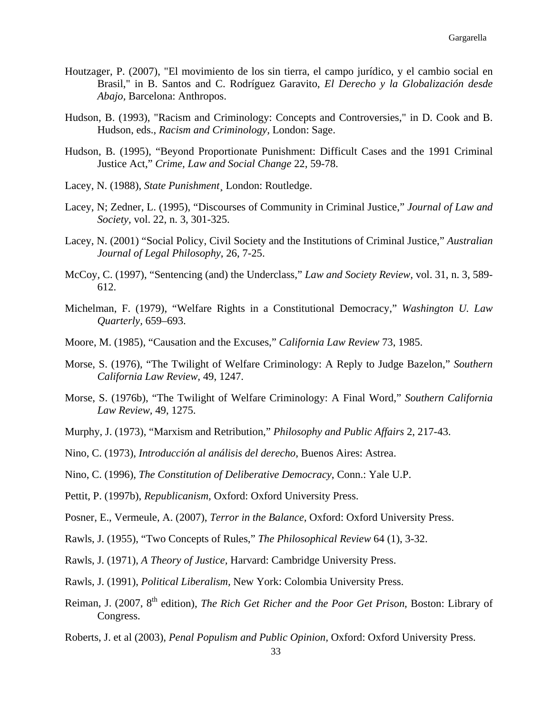- Houtzager, P. (2007), "El movimiento de los sin tierra, el campo jurídico, y el cambio social en Brasil," in B. Santos and C. Rodríguez Garavito, *El Derecho y la Globalización desde Abajo,* Barcelona: Anthropos.
- Hudson, B. (1993), "Racism and Criminology: Concepts and Controversies," in D. Cook and B. Hudson, eds., *Racism and Criminology,* London: Sage.
- Hudson, B. (1995), "Beyond Proportionate Punishment: Difficult Cases and the 1991 Criminal Justice Act," *Crime, Law and Social Change* 22, 59-78.
- Lacey, N. (1988), *State Punishment*¸ London: Routledge.
- Lacey, N; Zedner, L. (1995), "Discourses of Community in Criminal Justice," *Journal of Law and Society,* vol. 22, n. 3, 301-325.
- Lacey, N. (2001) "Social Policy, Civil Society and the Institutions of Criminal Justice," *Australian Journal of Legal Philosophy*, 26, 7-25.
- McCoy, C. (1997), "Sentencing (and) the Underclass," *Law and Society Review,* vol. 31, n. 3, 589- 612.
- Michelman, F. (1979), "Welfare Rights in a Constitutional Democracy," *Washington U. Law Quarterly,* 659–693.
- Moore, M. (1985), "Causation and the Excuses," *California Law Review* 73, 1985.
- Morse, S. (1976), "The Twilight of Welfare Criminology: A Reply to Judge Bazelon," *Southern California Law Review,* 49, 1247.
- Morse, S. (1976b), "The Twilight of Welfare Criminology: A Final Word," *Southern California Law Review,* 49, 1275.
- Murphy, J. (1973), "Marxism and Retribution," *Philosophy and Public Affairs* 2, 217-43.
- Nino, C. (1973), *Introducción al análisis del derecho*, Buenos Aires: Astrea.
- Nino, C. (1996), *The Constitution of Deliberative Democracy*, Conn.: Yale U.P.
- Pettit, P. (1997b), *Republicanism,* Oxford: Oxford University Press.
- Posner, E., Vermeule, A. (2007), *Terror in the Balance,* Oxford: Oxford University Press.
- Rawls, J. (1955), "Two Concepts of Rules," *The Philosophical Review* 64 (1), 3-32.
- Rawls, J. (1971), *A Theory of Justice,* Harvard: Cambridge University Press.
- Rawls, J. (1991), *Political Liberalism,* New York: Colombia University Press.
- Reiman, J. (2007, 8th edition), *The Rich Get Richer and the Poor Get Prison*, Boston: Library of Congress.
- Roberts, J. et al (2003), *Penal Populism and Public Opinion,* Oxford: Oxford University Press.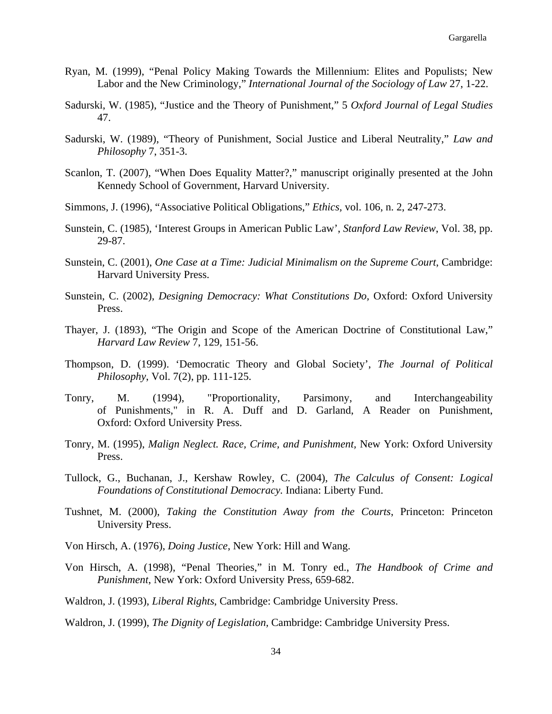- Ryan, M. (1999), "Penal Policy Making Towards the Millennium: Elites and Populists; New Labor and the New Criminology," *International Journal of the Sociology of Law* 27, 1-22.
- Sadurski, W. (1985), "Justice and the Theory of Punishment," 5 *Oxford Journal of Legal Studies*  47.
- Sadurski, W. (1989), "Theory of Punishment, Social Justice and Liberal Neutrality," *Law and Philosophy* 7, 351-3.
- Scanlon, T. (2007), "When Does Equality Matter?," manuscript originally presented at the John Kennedy School of Government, Harvard University.
- Simmons, J. (1996), "Associative Political Obligations," *Ethics,* vol. 106, n. 2, 247-273.
- Sunstein, C. (1985), 'Interest Groups in American Public Law', *Stanford Law Review*, Vol. 38, pp. 29-87.
- Sunstein, C. (2001), *One Case at a Time: Judicial Minimalism on the Supreme Court*, Cambridge: Harvard University Press.
- Sunstein, C. (2002), *Designing Democracy: What Constitutions Do,* Oxford: Oxford University Press.
- Thayer, J. (1893), "The Origin and Scope of the American Doctrine of Constitutional Law," *Harvard Law Review* 7, 129, 151-56.
- Thompson, D. (1999). 'Democratic Theory and Global Society', *The Journal of Political Philosophy*, Vol. 7(2), pp. 111-125.
- Tonry, M. (1994), "Proportionality, Parsimony, and Interchangeability of Punishments," in R. A. Duff and D. Garland, A Reader on Punishment, Oxford: Oxford University Press.
- Tonry, M. (1995), *Malign Neglect. Race, Crime, and Punishment,* New York: Oxford University Press.
- Tullock, G., Buchanan, J., Kershaw Rowley, C. (2004), *The Calculus of Consent: Logical Foundations of Constitutional Democracy.* Indiana: Liberty Fund.
- Tushnet, M. (2000), *Taking the Constitution Away from the Courts*, Princeton: Princeton University Press.
- Von Hirsch, A. (1976), *Doing Justice*, New York: Hill and Wang.
- Von Hirsch, A. (1998), "Penal Theories," in M. Tonry ed., *The Handbook of Crime and Punishment*, New York: Oxford University Press, 659-682.
- Waldron, J. (1993), *Liberal Rights*, Cambridge: Cambridge University Press.
- Waldron, J. (1999), *The Dignity of Legislation,* Cambridge: Cambridge University Press.